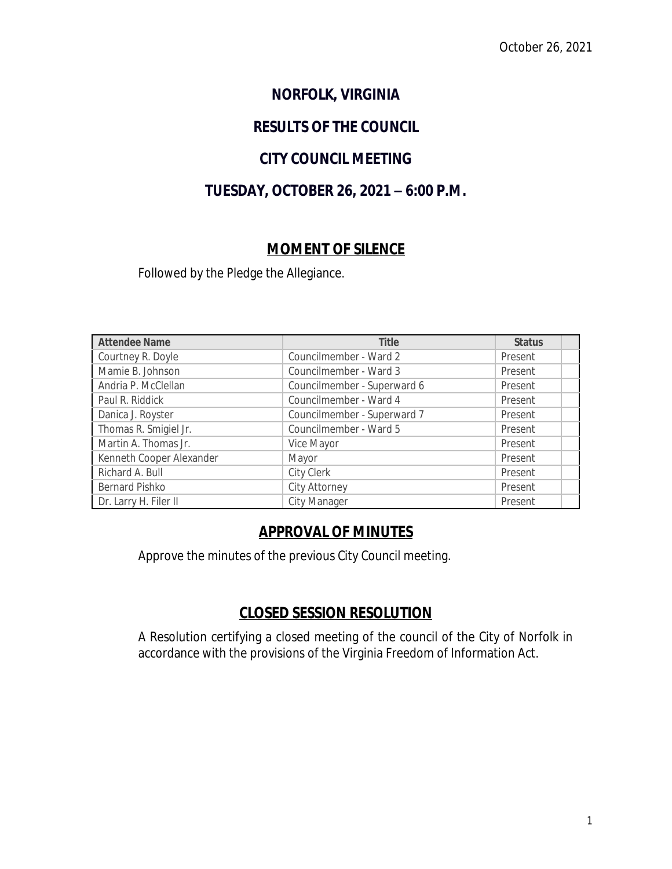### **NORFOLK, VIRGINIA**

### **RESULTS OF THE COUNCIL**

#### **CITY COUNCIL MEETING**

#### **TUESDAY, OCTOBER 26, 2021 – 6:00 P.M.**

### **MOMENT OF SILENCE**

Followed by the Pledge the Allegiance.

| <b>Attendee Name</b>     | <b>Title</b>                | <b>Status</b> |
|--------------------------|-----------------------------|---------------|
| Courtney R. Doyle        | Councilmember - Ward 2      | Present       |
| Mamie B. Johnson         | Councilmember - Ward 3      | Present       |
| Andria P. McClellan      | Councilmember - Superward 6 | Present       |
| Paul R. Riddick          | Councilmember - Ward 4      | Present       |
| Danica J. Royster        | Councilmember - Superward 7 | Present       |
| Thomas R. Smigiel Jr.    | Councilmember - Ward 5      | Present       |
| Martin A. Thomas Jr.     | Vice Mayor                  | Present       |
| Kenneth Cooper Alexander | Mayor                       | Present       |
| Richard A. Bull          | City Clerk                  | Present       |
| <b>Bernard Pishko</b>    | City Attorney               | Present       |
| Dr. Larry H. Filer II    | City Manager                | Present       |

### **APPROVAL OF MINUTES**

Approve the minutes of the previous City Council meeting.

### **CLOSED SESSION RESOLUTION**

A Resolution certifying a closed meeting of the council of the City of Norfolk in accordance with the provisions of the Virginia Freedom of Information Act.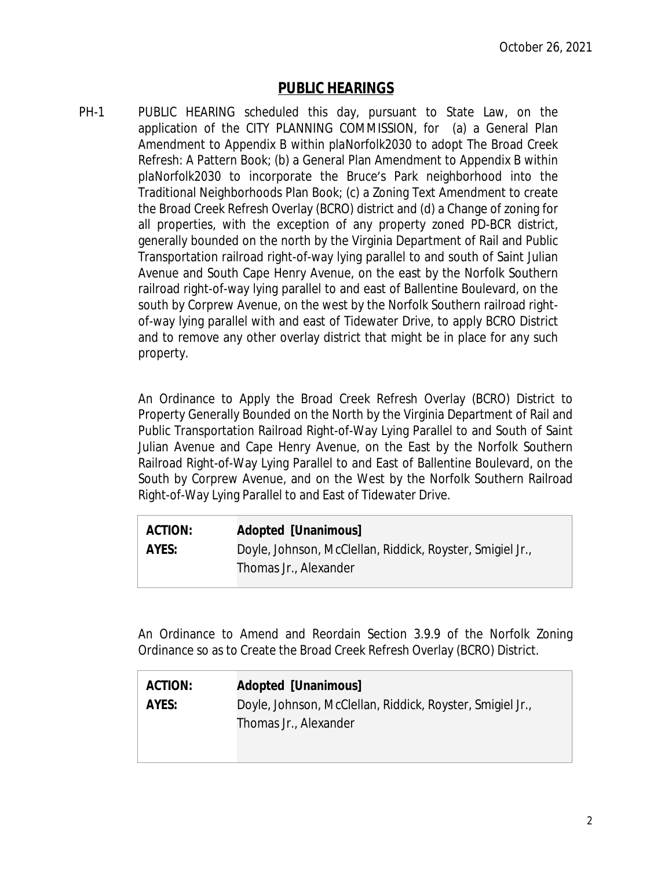#### **PUBLIC HEARINGS**

PH-1 PUBLIC HEARING scheduled this day, pursuant to State Law, on the application of the CITY PLANNING COMMISSION, for (a) a General Plan Amendment to Appendix B within *plaNorfolk2030* to adopt The Broad Creek Refresh: A Pattern Book; (b) a General Plan Amendment to Appendix B within *plaNorfolk2030* to incorporate the Bruce's Park neighborhood into the Traditional Neighborhoods Plan Book; (c) a Zoning Text Amendment to create the Broad Creek Refresh Overlay (BCRO) district and (d) a Change of zoning for all properties, with the exception of any property zoned PD-BCR district, generally bounded on the north by the Virginia Department of Rail and Public Transportation railroad right-of-way lying parallel to and south of Saint Julian Avenue and South Cape Henry Avenue, on the east by the Norfolk Southern railroad right-of-way lying parallel to and east of Ballentine Boulevard, on the south by Corprew Avenue, on the west by the Norfolk Southern railroad rightof-way lying parallel with and east of Tidewater Drive, to apply BCRO District and to remove any other overlay district that might be in place for any such property.

> An Ordinance to Apply the Broad Creek Refresh Overlay (BCRO) District to Property Generally Bounded on the North by the Virginia Department of Rail and Public Transportation Railroad Right-of-Way Lying Parallel to and South of Saint Julian Avenue and Cape Henry Avenue, on the East by the Norfolk Southern Railroad Right-of-Way Lying Parallel to and East of Ballentine Boulevard, on the South by Corprew Avenue, and on the West by the Norfolk Southern Railroad Right-of-Way Lying Parallel to and East of Tidewater Drive.

| <b>ACTION:</b> | <b>Adopted [Unanimous]</b>                                |
|----------------|-----------------------------------------------------------|
| AYES:          | Doyle, Johnson, McClellan, Riddick, Royster, Smigiel Jr., |
|                | Thomas Jr., Alexander                                     |

An Ordinance to Amend and Reordain Section 3.9.9 of the Norfolk Zoning Ordinance so as to Create the Broad Creek Refresh Overlay (BCRO) District.

| <b>ACTION:</b> | <b>Adopted [Unanimous]</b>                                                         |
|----------------|------------------------------------------------------------------------------------|
| AYES:          | Doyle, Johnson, McClellan, Riddick, Royster, Smigiel Jr.,<br>Thomas Jr., Alexander |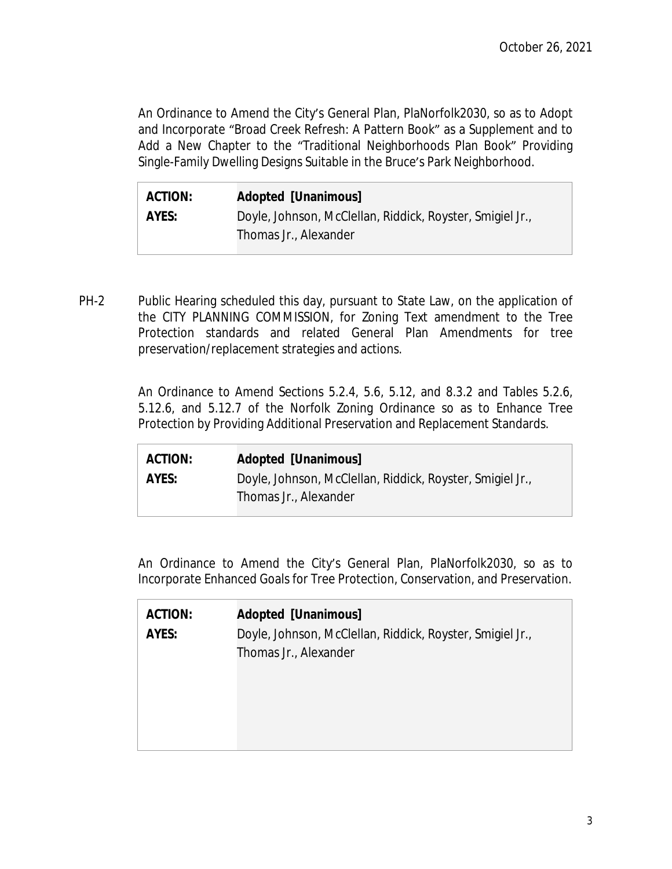An Ordinance to Amend the City's General Plan, PlaNorfolk2030, so as to Adopt and Incorporate "Broad Creek Refresh: A Pattern Book" as a Supplement and to Add a New Chapter to the "Traditional Neighborhoods Plan Book" Providing Single-Family Dwelling Designs Suitable in the Bruce's Park Neighborhood.

| <b>ACTION:</b> | <b>Adopted [Unanimous]</b>                                |
|----------------|-----------------------------------------------------------|
| AYES:          | Doyle, Johnson, McClellan, Riddick, Royster, Smigiel Jr., |
|                | Thomas Jr., Alexander                                     |

PH-2 Public Hearing scheduled this day, pursuant to State Law, on the application of the CITY PLANNING COMMISSION, for Zoning Text amendment to the Tree Protection standards and related General Plan Amendments for tree preservation/replacement strategies and actions.

> An Ordinance to Amend Sections 5.2.4, 5.6, 5.12, and 8.3.2 and Tables 5.2.6, 5.12.6, and 5.12.7 of the Norfolk Zoning Ordinance so as to Enhance Tree Protection by Providing Additional Preservation and Replacement Standards.

| <b>ACTION:</b> | <b>Adopted [Unanimous]</b>                                |
|----------------|-----------------------------------------------------------|
| AYES:          | Doyle, Johnson, McClellan, Riddick, Royster, Smigiel Jr., |
|                | Thomas Jr., Alexander                                     |

An Ordinance to Amend the City's General Plan, PlaNorfolk2030, so as to Incorporate Enhanced Goals for Tree Protection, Conservation, and Preservation.

| <b>ACTION:</b> | <b>Adopted [Unanimous]</b>                                                         |
|----------------|------------------------------------------------------------------------------------|
| AYES:          | Doyle, Johnson, McClellan, Riddick, Royster, Smigiel Jr.,<br>Thomas Jr., Alexander |
|                |                                                                                    |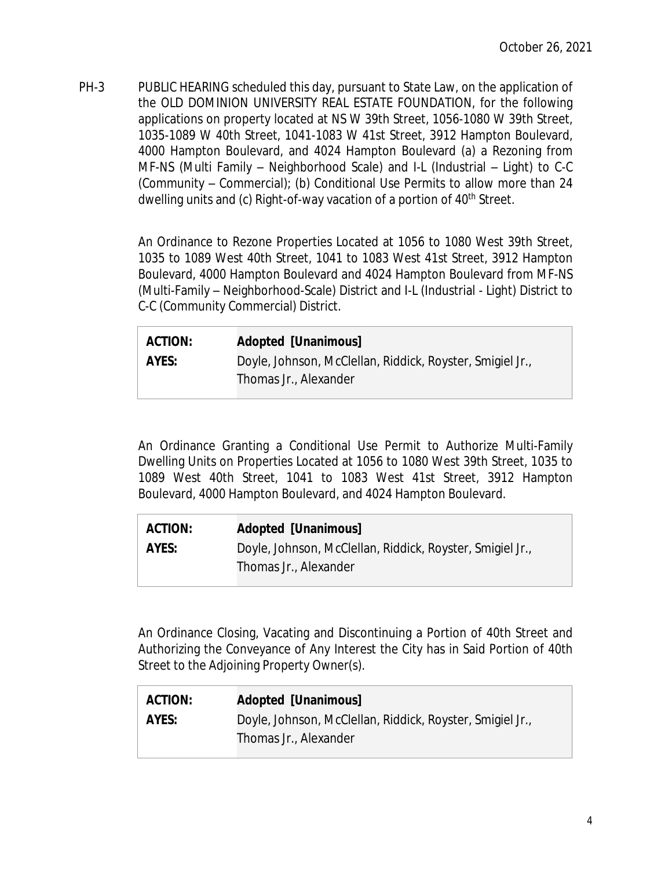PH-3 PUBLIC HEARING scheduled this day, pursuant to State Law, on the application of the OLD DOMINION UNIVERSITY REAL ESTATE FOUNDATION, for the following applications on property located at NS W 39th Street, 1056-1080 W 39th Street, 1035-1089 W 40th Street, 1041-1083 W 41st Street, 3912 Hampton Boulevard, 4000 Hampton Boulevard, and 4024 Hampton Boulevard (a) a Rezoning from MF-NS (Multi Family – Neighborhood Scale) and I-L (Industrial – Light) to C-C (Community – Commercial); (b) Conditional Use Permits to allow more than 24 dwelling units and (c) Right-of-way vacation of a portion of 40<sup>th</sup> Street.

> An Ordinance to Rezone Properties Located at 1056 to 1080 West 39th Street, 1035 to 1089 West 40th Street, 1041 to 1083 West 41st Street, 3912 Hampton Boulevard, 4000 Hampton Boulevard and 4024 Hampton Boulevard from MF-NS (Multi-Family – Neighborhood-Scale) District and I-L (Industrial - Light) District to C-C (Community Commercial) District.

| <b>ACTION:</b> | <b>Adopted [Unanimous]</b>                                |
|----------------|-----------------------------------------------------------|
| AYES:          | Doyle, Johnson, McClellan, Riddick, Royster, Smigiel Jr., |
|                | Thomas Jr., Alexander                                     |

An Ordinance Granting a Conditional Use Permit to Authorize Multi-Family Dwelling Units on Properties Located at 1056 to 1080 West 39th Street, 1035 to 1089 West 40th Street, 1041 to 1083 West 41st Street, 3912 Hampton Boulevard, 4000 Hampton Boulevard, and 4024 Hampton Boulevard.

| <b>ACTION:</b> | <b>Adopted [Unanimous]</b>                                |
|----------------|-----------------------------------------------------------|
| AYES:          | Doyle, Johnson, McClellan, Riddick, Royster, Smigiel Jr., |
|                | Thomas Jr., Alexander                                     |

An Ordinance Closing, Vacating and Discontinuing a Portion of 40th Street and Authorizing the Conveyance of Any Interest the City has in Said Portion of 40th Street to the Adjoining Property Owner(s).

| <b>ACTION:</b> | <b>Adopted [Unanimous]</b>                                |
|----------------|-----------------------------------------------------------|
| AYES:          | Doyle, Johnson, McClellan, Riddick, Royster, Smigiel Jr., |
|                | Thomas Jr., Alexander                                     |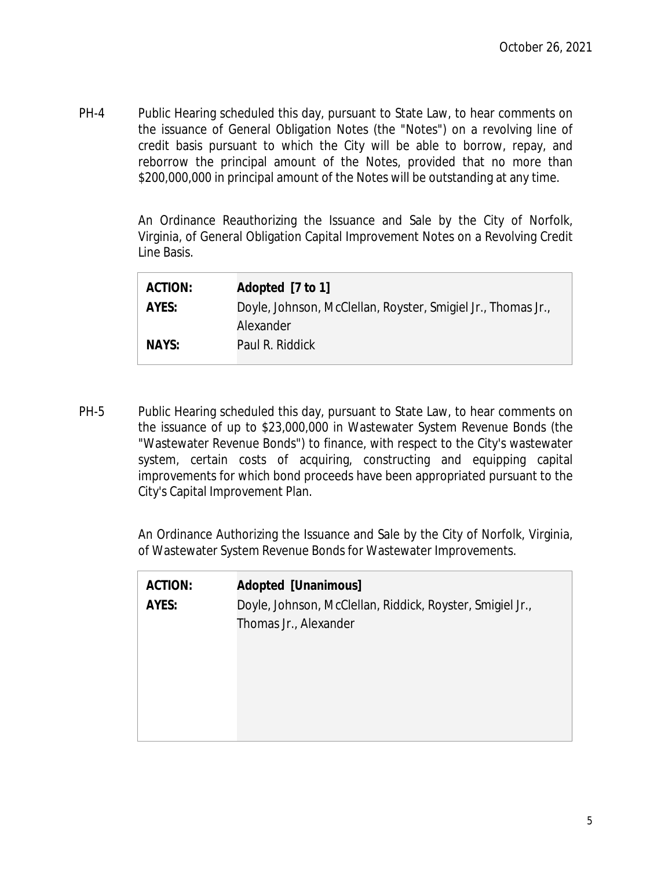PH-4 Public Hearing scheduled this day, pursuant to State Law, to hear comments on the issuance of General Obligation Notes (the "Notes") on a revolving line of credit basis pursuant to which the City will be able to borrow, repay, and reborrow the principal amount of the Notes, provided that no more than \$200,000,000 in principal amount of the Notes will be outstanding at any time.

> An Ordinance Reauthorizing the Issuance and Sale by the City of Norfolk, Virginia, of General Obligation Capital Improvement Notes on a Revolving Credit Line Basis.

| <b>ACTION:</b> | Adopted [7 to 1]                                             |
|----------------|--------------------------------------------------------------|
| AYES:          | Doyle, Johnson, McClellan, Royster, Smigiel Jr., Thomas Jr., |
|                | Alexander                                                    |
| <b>NAYS:</b>   | Paul R. Riddick                                              |

PH-5 Public Hearing scheduled this day, pursuant to State Law, to hear comments on the issuance of up to \$23,000,000 in Wastewater System Revenue Bonds (the "Wastewater Revenue Bonds") to finance, with respect to the City's wastewater system, certain costs of acquiring, constructing and equipping capital improvements for which bond proceeds have been appropriated pursuant to the City's Capital Improvement Plan.

> An Ordinance Authorizing the Issuance and Sale by the City of Norfolk, Virginia, of Wastewater System Revenue Bonds for Wastewater Improvements.

| <b>ACTION:</b> | <b>Adopted [Unanimous]</b>                                                         |
|----------------|------------------------------------------------------------------------------------|
| AYES:          | Doyle, Johnson, McClellan, Riddick, Royster, Smigiel Jr.,<br>Thomas Jr., Alexander |
|                |                                                                                    |
|                |                                                                                    |
|                |                                                                                    |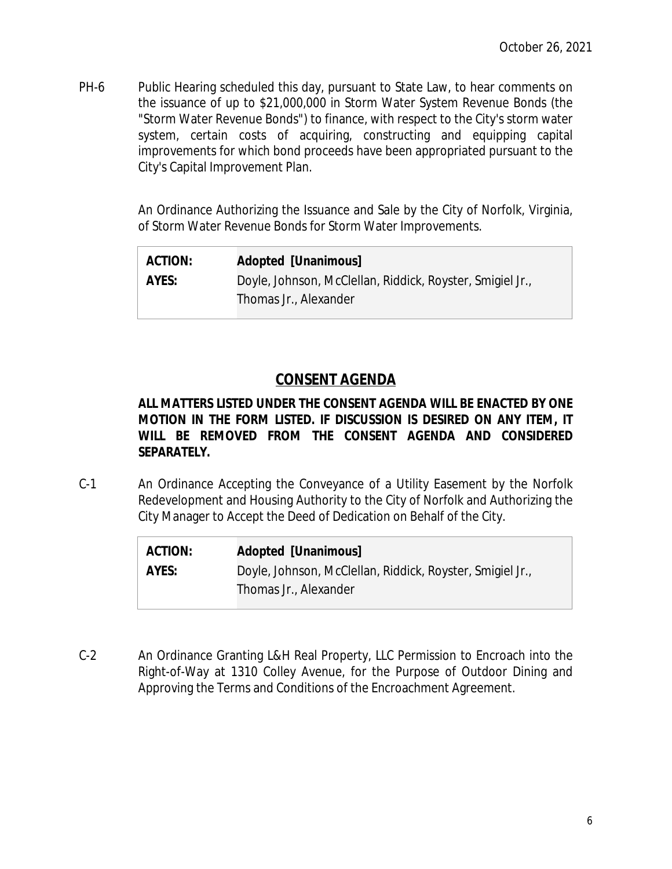PH-6 Public Hearing scheduled this day, pursuant to State Law, to hear comments on the issuance of up to \$21,000,000 in Storm Water System Revenue Bonds (the "Storm Water Revenue Bonds") to finance, with respect to the City's storm water system, certain costs of acquiring, constructing and equipping capital improvements for which bond proceeds have been appropriated pursuant to the City's Capital Improvement Plan.

> An Ordinance Authorizing the Issuance and Sale by the City of Norfolk, Virginia, of Storm Water Revenue Bonds for Storm Water Improvements.

| <b>ACTION:</b> | <b>Adopted [Unanimous]</b>                                |
|----------------|-----------------------------------------------------------|
| AYES:          | Doyle, Johnson, McClellan, Riddick, Royster, Smigiel Jr., |
|                | Thomas Jr., Alexander                                     |

# **CONSENT AGENDA**

**ALL MATTERS LISTED UNDER THE CONSENT AGENDA WILL BE ENACTED BY ONE MOTION IN THE FORM LISTED. IF DISCUSSION IS DESIRED ON ANY ITEM, IT WILL BE REMOVED FROM THE CONSENT AGENDA AND CONSIDERED SEPARATELY.**

C-1 An Ordinance Accepting the Conveyance of a Utility Easement by the Norfolk Redevelopment and Housing Authority to the City of Norfolk and Authorizing the City Manager to Accept the Deed of Dedication on Behalf of the City.

| <b>ACTION:</b> | <b>Adopted [Unanimous]</b>                                |
|----------------|-----------------------------------------------------------|
| AYES:          | Doyle, Johnson, McClellan, Riddick, Royster, Smigiel Jr., |
|                | Thomas Jr., Alexander                                     |

C-2 An Ordinance Granting L&H Real Property, LLC Permission to Encroach into the Right-of-Way at 1310 Colley Avenue, for the Purpose of Outdoor Dining and Approving the Terms and Conditions of the Encroachment Agreement.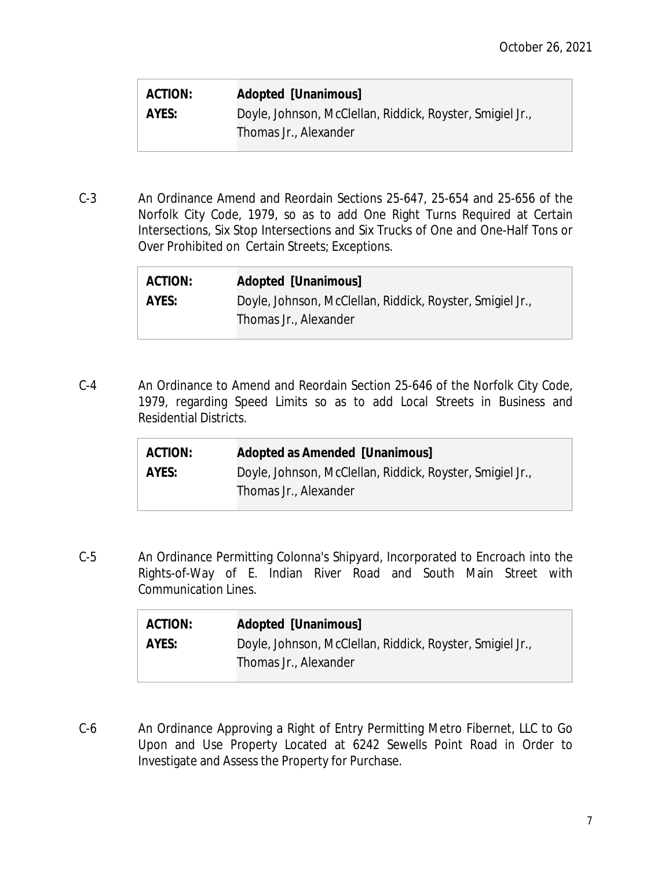| <b>ACTION:</b> | <b>Adopted [Unanimous]</b>                                |
|----------------|-----------------------------------------------------------|
| AYES:          | Doyle, Johnson, McClellan, Riddick, Royster, Smigiel Jr., |
|                | Thomas Jr., Alexander                                     |

C-3 An Ordinance Amend and Reordain Sections 25-647, 25-654 and 25-656 of the Norfolk City Code, 1979, so as to add One Right Turns Required at Certain Intersections, Six Stop Intersections and Six Trucks of One and One-Half Tons or Over Prohibited on Certain Streets; Exceptions.

| Doyle, Johnson, McClellan, Riddick, Royster, Smigiel Jr., |
|-----------------------------------------------------------|
|                                                           |

C-4 An Ordinance to Amend and Reordain Section 25-646 of the Norfolk City Code, 1979, regarding Speed Limits so as to add Local Streets in Business and Residential Districts.

| <b>ACTION:</b> | Adopted as Amended [Unanimous]                            |
|----------------|-----------------------------------------------------------|
| AYES:          | Doyle, Johnson, McClellan, Riddick, Royster, Smigiel Jr., |
|                | Thomas Jr., Alexander                                     |

C-5 An Ordinance Permitting Colonna's Shipyard, Incorporated to Encroach into the Rights-of-Way of E. Indian River Road and South Main Street with Communication Lines.

| <b>ACTION:</b> | <b>Adopted [Unanimous]</b>                                |
|----------------|-----------------------------------------------------------|
| AYES:          | Doyle, Johnson, McClellan, Riddick, Royster, Smigiel Jr., |
|                | Thomas Jr., Alexander                                     |

C-6 An Ordinance Approving a Right of Entry Permitting Metro Fibernet, LLC to Go Upon and Use Property Located at 6242 Sewells Point Road in Order to Investigate and Assess the Property for Purchase.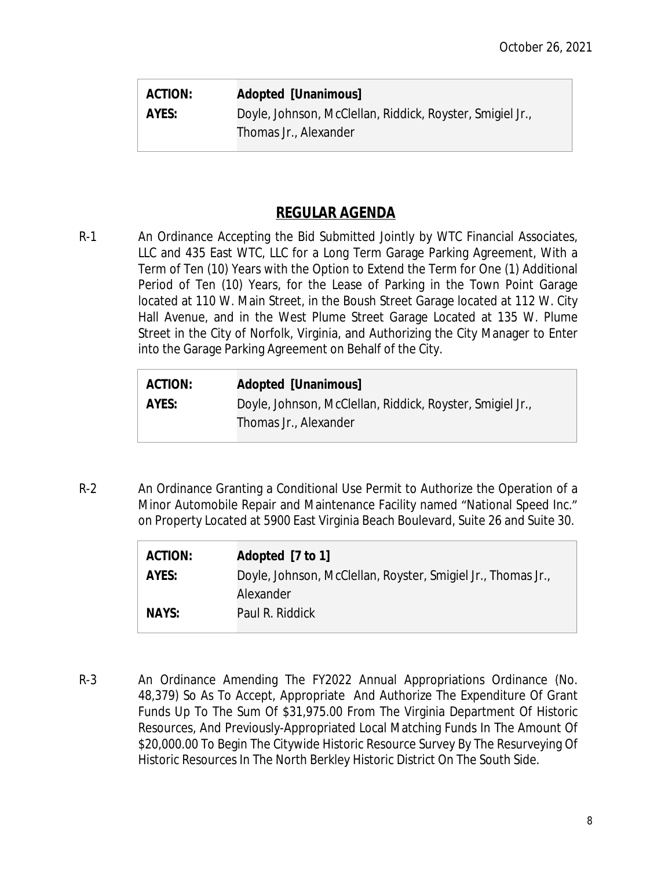| <b>ACTION:</b> | <b>Adopted [Unanimous]</b>                                |
|----------------|-----------------------------------------------------------|
| AYES:          | Doyle, Johnson, McClellan, Riddick, Royster, Smigiel Jr., |
|                | Thomas Jr., Alexander                                     |

## **REGULAR AGENDA**

R-1 An Ordinance Accepting the Bid Submitted Jointly by WTC Financial Associates, LLC and 435 East WTC, LLC for a Long Term Garage Parking Agreement, With a Term of Ten (10) Years with the Option to Extend the Term for One (1) Additional Period of Ten (10) Years, for the Lease of Parking in the Town Point Garage located at 110 W. Main Street, in the Boush Street Garage located at 112 W. City Hall Avenue, and in the West Plume Street Garage Located at 135 W. Plume Street in the City of Norfolk, Virginia, and Authorizing the City Manager to Enter into the Garage Parking Agreement on Behalf of the City.

| <b>ACTION:</b> | <b>Adopted [Unanimous]</b>                                |
|----------------|-----------------------------------------------------------|
| AYES:          | Doyle, Johnson, McClellan, Riddick, Royster, Smigiel Jr., |
|                | Thomas Jr., Alexander                                     |

R-2 An Ordinance Granting a Conditional Use Permit to Authorize the Operation of a Minor Automobile Repair and Maintenance Facility named "National Speed Inc." on Property Located at 5900 East Virginia Beach Boulevard, Suite 26 and Suite 30.

| <b>ACTION:</b> | Adopted [7 to 1]                                             |
|----------------|--------------------------------------------------------------|
| AYES:          | Doyle, Johnson, McClellan, Royster, Smigiel Jr., Thomas Jr., |
|                | Alexander                                                    |
| <b>NAYS:</b>   | Paul R. Riddick                                              |

R-3 An Ordinance Amending The FY2022 Annual Appropriations Ordinance (No. 48,379) So As To Accept, Appropriate And Authorize The Expenditure Of Grant Funds Up To The Sum Of \$31,975.00 From The Virginia Department Of Historic Resources, And Previously-Appropriated Local Matching Funds In The Amount Of \$20,000.00 To Begin The Citywide Historic Resource Survey By The Resurveying Of Historic Resources In The North Berkley Historic District On The South Side.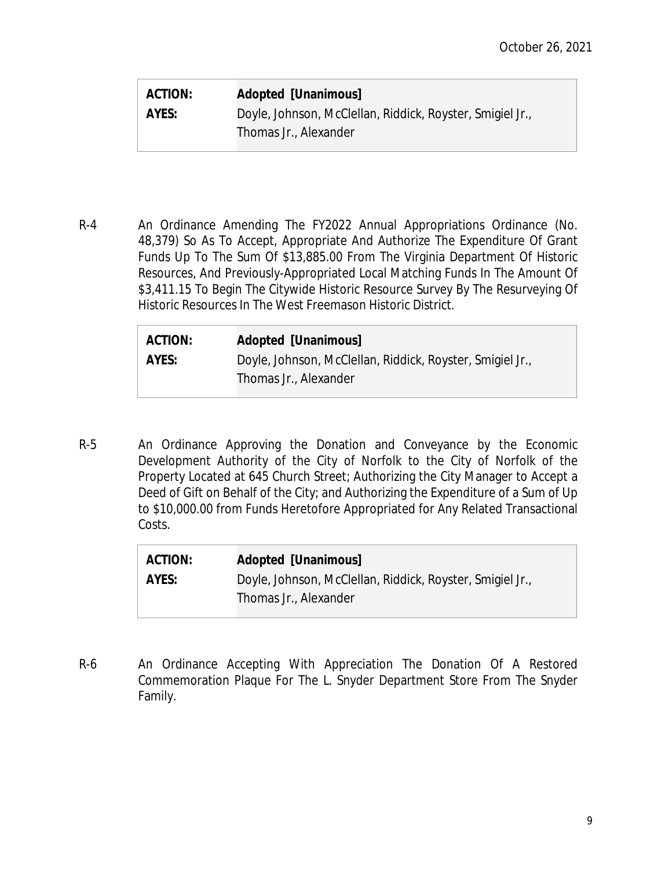| <b>ACTION:</b> | <b>Adopted [Unanimous]</b>                                |
|----------------|-----------------------------------------------------------|
| AYES:          | Doyle, Johnson, McClellan, Riddick, Royster, Smigiel Jr., |
|                | Thomas Jr., Alexander                                     |

R-4 An Ordinance Amending The FY2022 Annual Appropriations Ordinance (No. 48,379) So As To Accept, Appropriate And Authorize The Expenditure Of Grant Funds Up To The Sum Of \$13,885.00 From The Virginia Department Of Historic Resources, And Previously-Appropriated Local Matching Funds In The Amount Of \$3,411.15 To Begin The Citywide Historic Resource Survey By The Resurveying Of Historic Resources In The West Freemason Historic District.

| <b>ACTION:</b> | <b>Adopted [Unanimous]</b>                                |
|----------------|-----------------------------------------------------------|
| AYES:          | Doyle, Johnson, McClellan, Riddick, Royster, Smigiel Jr., |
|                | Thomas Jr., Alexander                                     |

R-5 An Ordinance Approving the Donation and Conveyance by the Economic Development Authority of the City of Norfolk to the City of Norfolk of the Property Located at 645 Church Street; Authorizing the City Manager to Accept a Deed of Gift on Behalf of the City; and Authorizing the Expenditure of a Sum of Up to \$10,000.00 from Funds Heretofore Appropriated for Any Related Transactional Costs.

| <b>ACTION:</b> | <b>Adopted [Unanimous]</b>                                |
|----------------|-----------------------------------------------------------|
| AYES:          | Doyle, Johnson, McClellan, Riddick, Royster, Smigiel Jr., |
|                | Thomas Jr., Alexander                                     |

R-6 An Ordinance Accepting With Appreciation The Donation Of A Restored Commemoration Plaque For The L. Snyder Department Store From The Snyder Family.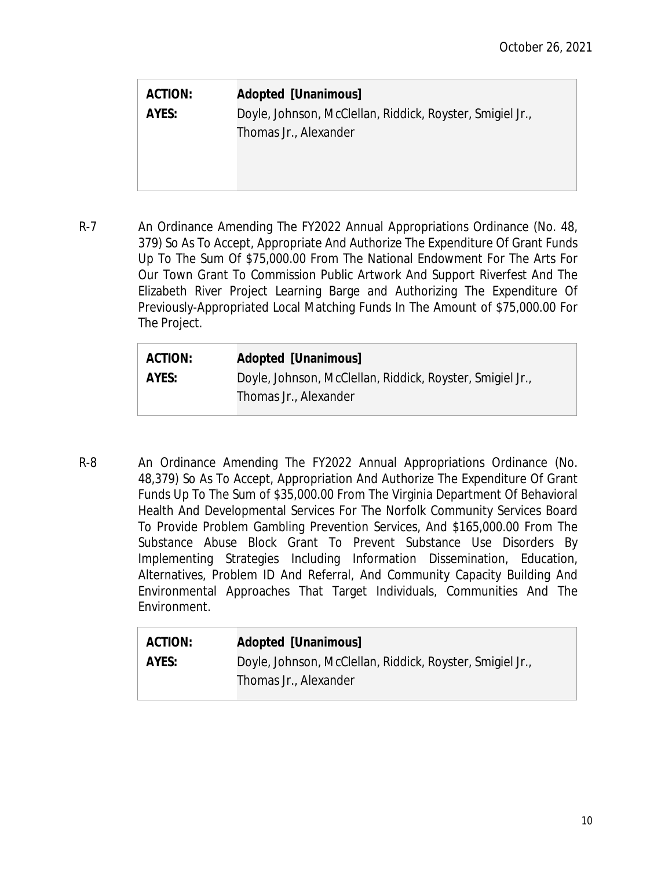| <b>ACTION:</b> | <b>Adopted [Unanimous]</b>                                |
|----------------|-----------------------------------------------------------|
| AYES:          | Doyle, Johnson, McClellan, Riddick, Royster, Smigiel Jr., |
|                | Thomas Jr., Alexander                                     |
|                |                                                           |
|                |                                                           |

R-7 An Ordinance Amending The FY2022 Annual Appropriations Ordinance (No. 48, 379) So As To Accept, Appropriate And Authorize The Expenditure Of Grant Funds Up To The Sum Of \$75,000.00 From The National Endowment For The Arts For Our Town Grant To Commission Public Artwork And Support Riverfest And The Elizabeth River Project Learning Barge and Authorizing The Expenditure Of Previously-Appropriated Local Matching Funds In The Amount of \$75,000.00 For The Project.

| <b>ACTION:</b> | <b>Adopted [Unanimous]</b>                                |
|----------------|-----------------------------------------------------------|
| AYES:          | Doyle, Johnson, McClellan, Riddick, Royster, Smigiel Jr., |
|                | Thomas Jr., Alexander                                     |

R-8 An Ordinance Amending The FY2022 Annual Appropriations Ordinance (No. 48,379) So As To Accept, Appropriation And Authorize The Expenditure Of Grant Funds Up To The Sum of \$35,000.00 From The Virginia Department Of Behavioral Health And Developmental Services For The Norfolk Community Services Board To Provide Problem Gambling Prevention Services, And \$165,000.00 From The Substance Abuse Block Grant To Prevent Substance Use Disorders By Implementing Strategies Including Information Dissemination, Education, Alternatives, Problem ID And Referral, And Community Capacity Building And Environmental Approaches That Target Individuals, Communities And The Environment.

| <b>ACTION:</b> | <b>Adopted [Unanimous]</b>                                |
|----------------|-----------------------------------------------------------|
| AYES:          | Doyle, Johnson, McClellan, Riddick, Royster, Smigiel Jr., |
|                | Thomas Jr., Alexander                                     |